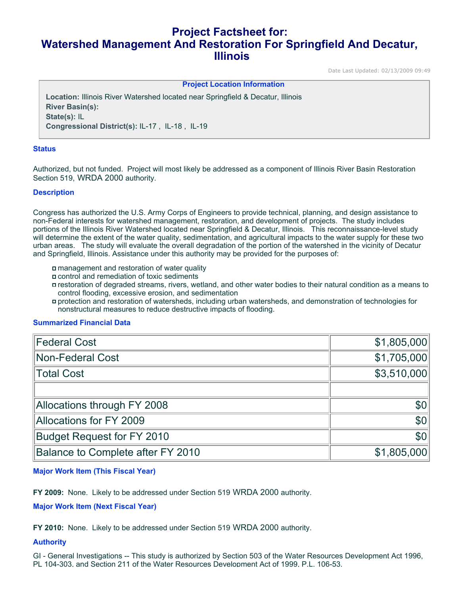# **Project Factsheet for: Watershed Management And Restoration For Springfield And Decatur, Illinois**

Date Last Updated: 02/13/2009 09:49

**Project Location Information** 

**Location:** Illinois River Watershed located near Springfield & Decatur, Illinois **River Basin(s): State(s):** IL **Congressional District(s):** IL-17 , IL-18 , IL-19

### **Status**

Authorized, but not funded. Project will most likely be addressed as a component of Illinois River Basin Restoration Section 519, WRDA 2000 authority.

#### **Description**

Congress has authorized the U.S. Army Corps of Engineers to provide technical, planning, and design assistance to non-Federal interests for watershed management, restoration, and development of projects. The study includes portions of the Illinois River Watershed located near Springfield & Decatur, Illinois. This reconnaissance-level study will determine the extent of the water quality, sedimentation, and agricultural impacts to the water supply for these two urban areas. The study will evaluate the overall degradation of the portion of the watershed in the vicinity of Decatur and Springfield, Illinois. Assistance under this authority may be provided for the purposes of:

- management and restoration of water quality
- control and remediation of toxic sediments
- restoration of degraded streams, rivers, wetland, and other water bodies to their natural condition as a means to control flooding, excessive erosion, and sedimentation
- protection and restoration of watersheds, including urban watersheds, and demonstration of technologies for nonstructural measures to reduce destructive impacts of flooding.

#### **Summarized Financial Data**

| <b>Federal Cost</b>               | \$1,805,000      |
|-----------------------------------|------------------|
| Non-Federal Cost                  | \$1,705,000      |
| Total Cost                        | \$3,510,000      |
|                                   |                  |
| Allocations through FY 2008       | \$0 <sub>1</sub> |
| Allocations for FY 2009           | \$0              |
| <b>Budget Request for FY 2010</b> | \$0 <sub>1</sub> |
| Balance to Complete after FY 2010 | \$1,805,000      |

#### **Major Work Item (This Fiscal Year)**

**FY 2009:** None. Likely to be addressed under Section 519 WRDA 2000 authority.

#### **Major Work Item (Next Fiscal Year)**

**FY 2010:** None. Likely to be addressed under Section 519 WRDA 2000 authority.

#### **Authority**

GI - General Investigations -- This study is authorized by Section 503 of the Water Resources Development Act 1996, PL 104-303, and Section 211 of the Water Resources Development Act of 1999, P.L. 106-53.